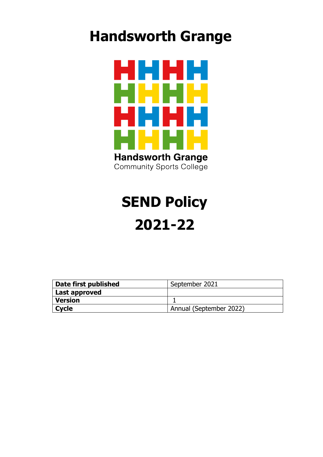## **Handsworth Grange**



# **SEND Policy 2021-22**

| Date first published | September 2021          |
|----------------------|-------------------------|
| Last approved        |                         |
| <b>Version</b>       |                         |
| Cycle                | Annual (September 2022) |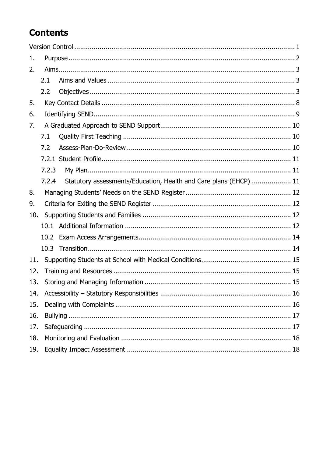## **Contents**

| 1.  |       |                                                                   |  |  |  |
|-----|-------|-------------------------------------------------------------------|--|--|--|
| 2.  |       |                                                                   |  |  |  |
|     | 2.1   |                                                                   |  |  |  |
|     | 2.2   |                                                                   |  |  |  |
| 5.  |       |                                                                   |  |  |  |
| 6.  |       |                                                                   |  |  |  |
| 7.  |       |                                                                   |  |  |  |
|     | 7.1   |                                                                   |  |  |  |
|     | 7.2   |                                                                   |  |  |  |
|     |       |                                                                   |  |  |  |
|     | 7.2.3 |                                                                   |  |  |  |
|     | 7.2.4 | Statutory assessments/Education, Health and Care plans (EHCP)  11 |  |  |  |
| 8.  |       |                                                                   |  |  |  |
| 9.  |       |                                                                   |  |  |  |
| 10. |       |                                                                   |  |  |  |
|     | 10.1  |                                                                   |  |  |  |
|     | 10.2  |                                                                   |  |  |  |
|     | 10.3  |                                                                   |  |  |  |
| 11. |       |                                                                   |  |  |  |
| 12. |       |                                                                   |  |  |  |
| 13. |       |                                                                   |  |  |  |
| 14. |       |                                                                   |  |  |  |
| 15. |       |                                                                   |  |  |  |
| 16. |       |                                                                   |  |  |  |
| 17. |       |                                                                   |  |  |  |
| 18. |       |                                                                   |  |  |  |
| 19. |       |                                                                   |  |  |  |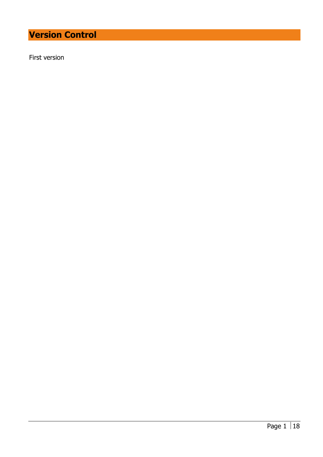## <span id="page-2-0"></span>**Version Control**

First version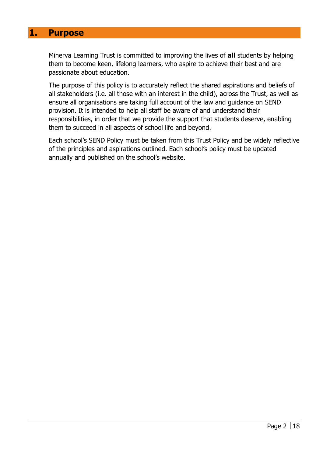#### <span id="page-3-0"></span>**1. Purpose**

Minerva Learning Trust is committed to improving the lives of **all** students by helping them to become keen, lifelong learners, who aspire to achieve their best and are passionate about education.

The purpose of this policy is to accurately reflect the shared aspirations and beliefs of all stakeholders (i.e. all those with an interest in the child), across the Trust, as well as ensure all organisations are taking full account of the law and guidance on SEND provision. It is intended to help all staff be aware of and understand their responsibilities, in order that we provide the support that students deserve, enabling them to succeed in all aspects of school life and beyond.

Each school's SEND Policy must be taken from this Trust Policy and be widely reflective of the principles and aspirations outlined. Each school's policy must be updated annually and published on the school's website.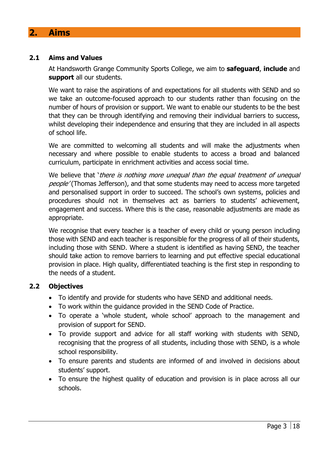## <span id="page-4-0"></span>**2. Aims**

#### <span id="page-4-1"></span>**2.1 Aims and Values**

At Handsworth Grange Community Sports College, we aim to **safeguard**, **include** and **support** all our students.

We want to raise the aspirations of and expectations for all students with SEND and so we take an outcome-focused approach to our students rather than focusing on the number of hours of provision or support. We want to enable our students to be the best that they can be through identifying and removing their individual barriers to success, whilst developing their independence and ensuring that they are included in all aspects of school life.

We are committed to welcoming all students and will make the adjustments when necessary and where possible to enable students to access a broad and balanced curriculum, participate in enrichment activities and access social time.

We believe that 'there is nothing more unequal than the equal treatment of unequal people' (Thomas Jefferson), and that some students may need to access more targeted and personalised support in order to succeed. The school's own systems, policies and procedures should not in themselves act as barriers to students' achievement, engagement and success. Where this is the case, reasonable adjustments are made as appropriate.

We recognise that every teacher is a teacher of every child or young person including those with SEND and each teacher is responsible for the progress of all of their students, including those with SEND. Where a student is identified as having SEND, the teacher should take action to remove barriers to learning and put effective special educational provision in place. High quality, differentiated teaching is the first step in responding to the needs of a student.

#### <span id="page-4-2"></span>**2.2 Objectives**

- To identify and provide for students who have SEND and additional needs.
- To work within the guidance provided in the SEND Code of Practice.
- To operate a 'whole student, whole school' approach to the management and provision of support for SEND.
- To provide support and advice for all staff working with students with SEND, recognising that the progress of all students, including those with SEND, is a whole school responsibility.
- To ensure parents and students are informed of and involved in decisions about students' support.
- To ensure the highest quality of education and provision is in place across all our schools.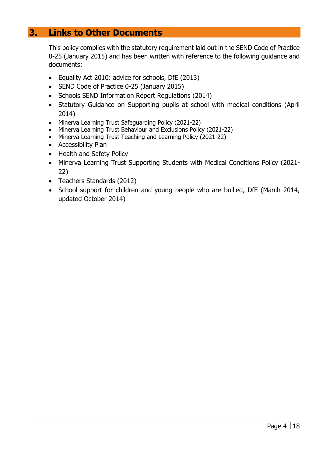## **3. Links to Other Documents**

This policy complies with the statutory requirement laid out in the SEND Code of Practice 0-25 (January 2015) and has been written with reference to the following guidance and documents:

- Equality Act 2010: advice for schools, DfE (2013)
- SEND Code of Practice 0-25 (January 2015)
- Schools SEND Information Report Regulations (2014)
- Statutory Guidance on Supporting pupils at school with medical conditions (April 2014)
- Minerva Learning Trust Safeguarding Policy (2021-22)
- Minerva Learning Trust Behaviour and Exclusions Policy (2021-22)
- Minerva Learning Trust Teaching and Learning Policy (2021-22)
- Accessibility Plan
- Health and Safety Policy
- Minerva Learning Trust Supporting Students with Medical Conditions Policy (2021- 22)
- Teachers Standards (2012)
- School support for children and young people who are bullied, DfE (March 2014, updated October 2014)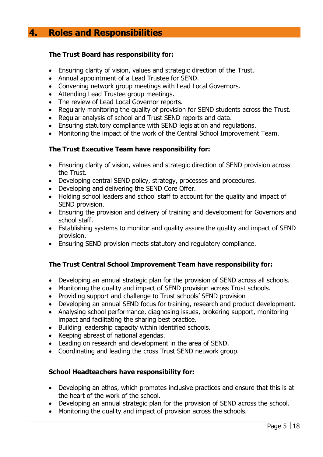## **4. Roles and Responsibilities**

#### **The Trust Board has responsibility for:**

- Ensuring clarity of vision, values and strategic direction of the Trust.
- Annual appointment of a Lead Trustee for SEND.
- Convening network group meetings with Lead Local Governors.
- Attending Lead Trustee group meetings.
- The review of Lead Local Governor reports.
- Regularly monitoring the quality of provision for SEND students across the Trust.
- Regular analysis of school and Trust SEND reports and data.
- Ensuring statutory compliance with SEND legislation and regulations.
- Monitoring the impact of the work of the Central School Improvement Team.

#### **The Trust Executive Team have responsibility for:**

- Ensuring clarity of vision, values and strategic direction of SEND provision across the Trust.
- Developing central SEND policy, strategy, processes and procedures.
- Developing and delivering the SEND Core Offer.
- Holding school leaders and school staff to account for the quality and impact of SEND provision.
- Ensuring the provision and delivery of training and development for Governors and school staff.
- Establishing systems to monitor and quality assure the quality and impact of SEND provision.
- Ensuring SEND provision meets statutory and regulatory compliance.

#### **The Trust Central School Improvement Team have responsibility for:**

- Developing an annual strategic plan for the provision of SEND across all schools.
- Monitoring the quality and impact of SEND provision across Trust schools.
- Providing support and challenge to Trust schools' SEND provision
- Developing an annual SEND focus for training, research and product development.
- Analysing school performance, diagnosing issues, brokering support, monitoring impact and facilitating the sharing best practice.
- Building leadership capacity within identified schools.
- Keeping abreast of national agendas.
- Leading on research and development in the area of SEND.
- Coordinating and leading the cross Trust SEND network group.

#### **School Headteachers have responsibility for:**

- Developing an ethos, which promotes inclusive practices and ensure that this is at the heart of the work of the school.
- Developing an annual strategic plan for the provision of SEND across the school.
- Monitoring the quality and impact of provision across the schools.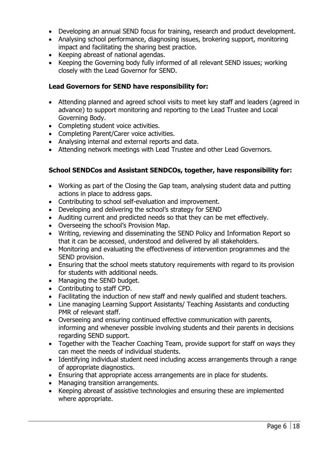- Developing an annual SEND focus for training, research and product development.
- Analysing school performance, diagnosing issues, brokering support, monitoring impact and facilitating the sharing best practice.
- Keeping abreast of national agendas.
- Keeping the Governing body fully informed of all relevant SEND issues; working closely with the Lead Governor for SEND.

#### **Lead Governors for SEND have responsibility for:**

- Attending planned and agreed school visits to meet key staff and leaders (agreed in advance) to support monitoring and reporting to the Lead Trustee and Local Governing Body.
- Completing student voice activities.
- Completing Parent/Carer voice activities.
- Analysing internal and external reports and data.
- Attending network meetings with Lead Trustee and other Lead Governors.

#### **School SENDCos and Assistant SENDCOs, together, have responsibility for:**

- Working as part of the Closing the Gap team, analysing student data and putting actions in place to address gaps.
- Contributing to school self-evaluation and improvement.
- Developing and delivering the school's strategy for SEND
- Auditing current and predicted needs so that they can be met effectively.
- Overseeing the school's Provision Map.
- Writing, reviewing and disseminating the SEND Policy and Information Report so that it can be accessed, understood and delivered by all stakeholders.
- Monitoring and evaluating the effectiveness of intervention programmes and the SEND provision.
- Ensuring that the school meets statutory requirements with regard to its provision for students with additional needs.
- Managing the SEND budget.
- Contributing to staff CPD.
- Facilitating the induction of new staff and newly qualified and student teachers.
- Line managing Learning Support Assistants/ Teaching Assistants and conducting PMR of relevant staff.
- Overseeing and ensuring continued effective communication with parents, informing and whenever possible involving students and their parents in decisions regarding SEND support.
- Together with the Teacher Coaching Team, provide support for staff on ways they can meet the needs of individual students.
- Identifying individual student need including access arrangements through a range of appropriate diagnostics.
- Ensuring that appropriate access arrangements are in place for students.
- Managing transition arrangements.
- Keeping abreast of assistive technologies and ensuring these are implemented where appropriate.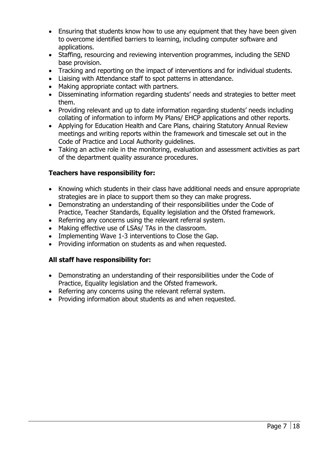- Ensuring that students know how to use any equipment that they have been given to overcome identified barriers to learning, including computer software and applications.
- Staffing, resourcing and reviewing intervention programmes, including the SEND base provision.
- Tracking and reporting on the impact of interventions and for individual students.
- Liaising with Attendance staff to spot patterns in attendance.
- Making appropriate contact with partners.
- Disseminating information regarding students' needs and strategies to better meet them.
- Providing relevant and up to date information regarding students' needs including collating of information to inform My Plans/ EHCP applications and other reports.
- Applying for Education Health and Care Plans, chairing Statutory Annual Review meetings and writing reports within the framework and timescale set out in the Code of Practice and Local Authority guidelines.
- Taking an active role in the monitoring, evaluation and assessment activities as part of the department quality assurance procedures.

#### **Teachers have responsibility for:**

- Knowing which students in their class have additional needs and ensure appropriate strategies are in place to support them so they can make progress.
- Demonstrating an understanding of their responsibilities under the Code of Practice, Teacher Standards, Equality legislation and the Ofsted framework.
- Referring any concerns using the relevant referral system.
- Making effective use of LSAs/ TAs in the classroom.
- Implementing Wave 1-3 interventions to Close the Gap.
- Providing information on students as and when requested.

#### **All staff have responsibility for:**

- Demonstrating an understanding of their responsibilities under the Code of Practice, Equality legislation and the Ofsted framework.
- Referring any concerns using the relevant referral system.
- Providing information about students as and when requested.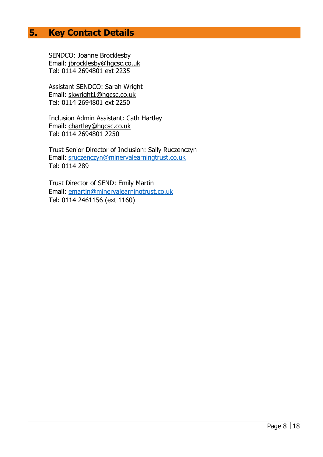## <span id="page-9-0"></span>**5. Key Contact Details**

SENDCO: Joanne Brocklesby Email: [jbrocklesby@hgcsc.co.uk](mailto:jbrocklesby@hgcsc.co.uk) Tel: 0114 2694801 ext 2235

Assistant SENDCO: Sarah Wright Email: [skwright1@hgcsc.co.uk](mailto:skwright1@hgcsc.co.uk) Tel: 0114 2694801 ext 2250

Inclusion Admin Assistant: Cath Hartley Email: [chartley@hgcsc.co.uk](mailto:chartley@hgcsc.co.uk) Tel: 0114 2694801 2250

Trust Senior Director of Inclusion: Sally Ruczenczyn Email: [sruczenczyn@minervalearningtrust.co.uk](about:blank) Tel: 0114 289

Trust Director of SEND: Emily Martin Email: [emartin@minervalearningtrust.co.uk](about:blank) Tel: 0114 2461156 (ext 1160)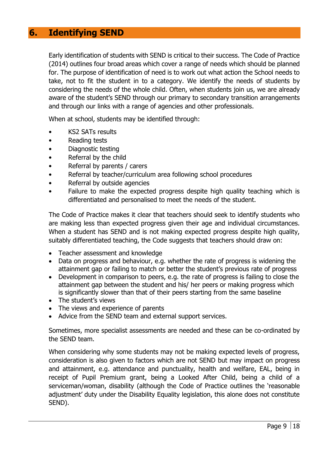## <span id="page-10-0"></span>**6. Identifying SEND**

Early identification of students with SEND is critical to their success. The Code of Practice (2014) outlines four broad areas which cover a range of needs which should be planned for. The purpose of identification of need is to work out what action the School needs to take, not to fit the student in to a category. We identify the needs of students by considering the needs of the whole child. Often, when students join us, we are already aware of the student's SEND through our primary to secondary transition arrangements and through our links with a range of agencies and other professionals.

When at school, students may be identified through:

- KS2 SATs results
- Reading tests
- Diagnostic testing
- Referral by the child
- Referral by parents / carers
- Referral by teacher/curriculum area following school procedures
- Referral by outside agencies
- Failure to make the expected progress despite high quality teaching which is differentiated and personalised to meet the needs of the student.

The Code of Practice makes it clear that teachers should seek to identify students who are making less than expected progress given their age and individual circumstances. When a student has SEND and is not making expected progress despite high quality, suitably differentiated teaching, the Code suggests that teachers should draw on:

- Teacher assessment and knowledge
- Data on progress and behaviour, e.g. whether the rate of progress is widening the attainment gap or failing to match or better the student's previous rate of progress
- Development in comparison to peers, e.g. the rate of progress is failing to close the attainment gap between the student and his/ her peers or making progress which is significantly slower than that of their peers starting from the same baseline
- The student's views
- The views and experience of parents
- Advice from the SEND team and external support services.

Sometimes, more specialist assessments are needed and these can be co-ordinated by the SEND team.

When considering why some students may not be making expected levels of progress, consideration is also given to factors which are not SEND but may impact on progress and attainment, e.g. attendance and punctuality, health and welfare, EAL, being in receipt of Pupil Premium grant, being a Looked After Child, being a child of a serviceman/woman, disability (although the Code of Practice outlines the 'reasonable adjustment' duty under the Disability Equality legislation, this alone does not constitute SEND).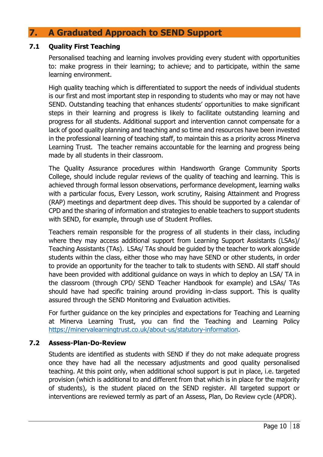## <span id="page-11-0"></span>**7. A Graduated Approach to SEND Support**

#### <span id="page-11-1"></span>**7.1 Quality First Teaching**

Personalised teaching and learning involves providing every student with opportunities to: make progress in their learning; to achieve; and to participate, within the same learning environment.

High quality teaching which is differentiated to support the needs of individual students is our first and most important step in responding to students who may or may not have SEND. Outstanding teaching that enhances students' opportunities to make significant steps in their learning and progress is likely to facilitate outstanding learning and progress for all students. Additional support and intervention cannot compensate for a lack of good quality planning and teaching and so time and resources have been invested in the professional learning of teaching staff, to maintain this as a priority across Minerva Learning Trust. The teacher remains accountable for the learning and progress being made by all students in their classroom.

The Quality Assurance procedures within Handsworth Grange Community Sports College, should include regular reviews of the quality of teaching and learning. This is achieved through formal lesson observations, performance development, learning walks with a particular focus, Every Lesson, work scrutiny, Raising Attainment and Progress (RAP) meetings and department deep dives. This should be supported by a calendar of CPD and the sharing of information and strategies to enable teachers to support students with SEND, for example, through use of Student Profiles.

Teachers remain responsible for the progress of all students in their class, including where they may access additional support from Learning Support Assistants (LSAs)/ Teaching Assistants (TAs). LSAs/ TAs should be guided by the teacher to work alongside students within the class, either those who may have SEND or other students, in order to provide an opportunity for the teacher to talk to students with SEND. All staff should have been provided with additional guidance on ways in which to deploy an LSA/ TA in the classroom (through CPD/ SEND Teacher Handbook for example) and LSAs/ TAs should have had specific training around providing in-class support. This is quality assured through the SEND Monitoring and Evaluation activities.

For further guidance on the key principles and expectations for Teaching and Learning at Minerva Learning Trust, you can find the Teaching and Learning Policy [https://minervalearningtrust.co.uk/about-us/statutory-information.](https://minervalearningtrust.co.uk/about-us/statutory-information)

#### <span id="page-11-2"></span>**7.2 Assess-Plan-Do-Review**

Students are identified as students with SEND if they do not make adequate progress once they have had all the necessary adjustments and good quality personalised teaching. At this point only, when additional school support is put in place, i.e. targeted provision (which is additional to and different from that which is in place for the majority of students), is the student placed on the SEND register. All targeted support or interventions are reviewed termly as part of an Assess, Plan, Do Review cycle (APDR).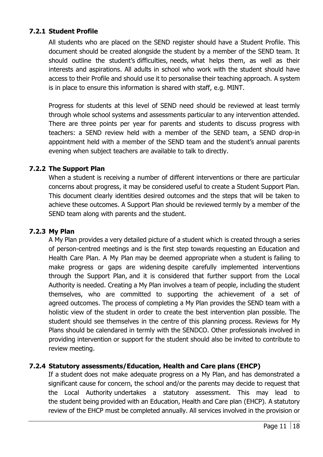#### <span id="page-12-0"></span>**7.2.1 Student Profile**

All students who are placed on the SEND register should have a Student Profile. This document should be created alongside the student by a member of the SEND team. It should outline the student's difficulties, needs, what helps them, as well as their interests and aspirations. All adults in school who work with the student should have access to their Profile and should use it to personalise their teaching approach. A system is in place to ensure this information is shared with staff, e.g. MINT.

Progress for students at this level of SEND need should be reviewed at least termly through whole school systems and assessments particular to any intervention attended. There are three points per year for parents and students to discuss progress with teachers: a SEND review held with a member of the SEND team, a SEND drop-in appointment held with a member of the SEND team and the student's annual parents evening when subject teachers are available to talk to directly.

#### **7.2.2 The Support Plan**

When a student is receiving a number of different interventions or there are particular concerns about progress, it may be considered useful to create a Student Support Plan. This document clearly identities desired outcomes and the steps that will be taken to achieve these outcomes. A Support Plan should be reviewed termly by a member of the SEND team along with parents and the student.

#### <span id="page-12-1"></span>**7.2.3 My Plan**

A My Plan provides a very detailed picture of a student which is created through a series of person-centred meetings and is the first step towards requesting an Education and Health Care Plan. A My Plan may be deemed appropriate when a student is failing to make progress or gaps are widening despite carefully implemented interventions through the Support Plan, and it is considered that further support from the Local Authority is needed. Creating a My Plan involves a team of people, including the student themselves, who are committed to supporting the achievement of a set of agreed outcomes. The process of completing a My Plan provides the SEND team with a holistic view of the student in order to create the best intervention plan possible. The student should see themselves in the centre of this planning process. Reviews for My Plans should be calendared in termly with the SENDCO. Other professionals involved in providing intervention or support for the student should also be invited to contribute to review meeting.

#### <span id="page-12-2"></span>**7.2.4 Statutory assessments/Education, Health and Care plans (EHCP)**

If a student does not make adequate progress on a My Plan, and has demonstrated a significant cause for concern, the school and/or the parents may decide to request that the Local Authority undertakes a statutory assessment. This may lead to the student being provided with an Education, Health and Care plan (EHCP). A statutory review of the EHCP must be completed annually. All services involved in the provision or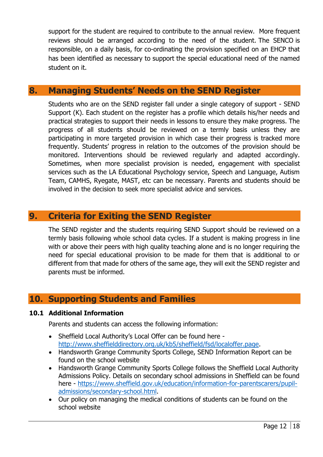support for the student are required to contribute to the annual review. More frequent reviews should be arranged according to the need of the student. The SENCO is responsible, on a daily basis, for co-ordinating the provision specified on an EHCP that has been identified as necessary to support the special educational need of the named student on it.

## <span id="page-13-0"></span>**8. Managing Students' Needs on the SEND Register**

Students who are on the SEND register fall under a single category of support - SEND Support (K). Each student on the register has a profile which details his/her needs and practical strategies to support their needs in lessons to ensure they make progress. The progress of all students should be reviewed on a termly basis unless they are participating in more targeted provision in which case their progress is tracked more frequently. Students' progress in relation to the outcomes of the provision should be monitored. Interventions should be reviewed regularly and adapted accordingly. Sometimes, when more specialist provision is needed, engagement with specialist services such as the LA Educational Psychology service, Speech and Language, Autism Team, CAMHS, Ryegate, MAST, etc can be necessary. Parents and students should be involved in the decision to seek more specialist advice and services.

## <span id="page-13-1"></span>**9. Criteria for Exiting the SEND Register**

The SEND register and the students requiring SEND Support should be reviewed on a termly basis following whole school data cycles. If a student is making progress in line with or above their peers with high quality teaching alone and is no longer requiring the need for special educational provision to be made for them that is additional to or different from that made for others of the same age, they will exit the SEND register and parents must be informed.

## <span id="page-13-2"></span>**10. Supporting Students and Families**

#### <span id="page-13-3"></span>**10.1 Additional Information**

Parents and students can access the following information:

- Sheffield Local Authority's Local Offer can be found here [http://www.sheffielddirectory.org.uk/kb5/sheffield/fsd/localoffer.page.](about:blank)
- Handsworth Grange Community Sports College, SEND Information Report can be found on the school website
- Handsworth Grange Community Sports College follows the Sheffield Local Authority Admissions Policy. Details on secondary school admissions in Sheffield can be found here - [https://www.sheffield.gov.uk/education/information-for-parentscarers/pupil](about:blank)[admissions/secondary-school.html.](about:blank)
- Our policy on managing the medical conditions of students can be found on the school website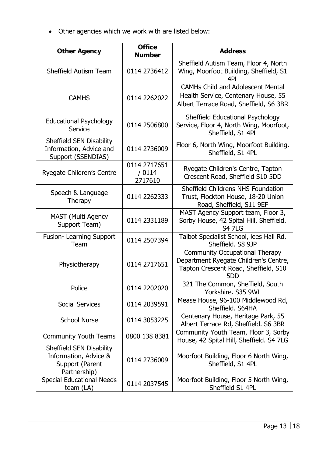• Other agencies which we work with are listed below:

| <b>Other Agency</b>                                                                  | <b>Office</b><br><b>Number</b>    | <b>Address</b>                                                                                                                |
|--------------------------------------------------------------------------------------|-----------------------------------|-------------------------------------------------------------------------------------------------------------------------------|
| <b>Sheffield Autism Team</b>                                                         | 0114 2736412                      | Sheffield Autism Team, Floor 4, North<br>Wing, Moorfoot Building, Sheffield, S1<br>4PL                                        |
| <b>CAMHS</b>                                                                         | 0114 2262022                      | <b>CAMHs Child and Adolescent Mental</b><br>Health Service, Centenary House, 55<br>Albert Terrace Road, Sheffield, S6 3BR     |
| <b>Educational Psychology</b><br>Service                                             | 0114 2506800                      | Sheffield Educational Psychology<br>Service, Floor 4, North Wing, Moorfoot,<br>Sheffield, S1 4PL                              |
| Sheffield SEN Disability<br>Information, Advice and<br>Support (SSENDIAS)            | 0114 2736009                      | Floor 6, North Wing, Moorfoot Building,<br>Sheffield, S1 4PL                                                                  |
| Ryegate Children's Centre                                                            | 0114 2717651<br>/ 0114<br>2717610 | Ryegate Children's Centre, Tapton<br>Crescent Road, Sheffield S10 5DD                                                         |
| Speech & Language<br>Therapy                                                         | 0114 2262333                      | Sheffield Childrens NHS Foundation<br>Trust, Flockton House, 18-20 Union<br>Road, Sheffield, S11 9EF                          |
| <b>MAST (Multi Agency</b><br>Support Team)                                           | 0114 2331189                      | MAST Agency Support team, Floor 3,<br>Sorby House, 42 Spital Hill, Sheffield.<br><b>S4 7LG</b>                                |
| Fusion- Learning Support<br>Team                                                     | 0114 2507394                      | Talbot Specialist School, lees Hall Rd,<br>Sheffield. S8 9JP                                                                  |
| Physiotherapy                                                                        | 0114 2717651                      | <b>Community Occupational Therapy</b><br>Department Ryegate Children's Centre,<br>Tapton Crescent Road, Sheffield, S10<br>5DD |
| Police                                                                               | 0114 2202020                      | 321 The Common, Sheffield, South<br>Yorkshire. S35 9WL                                                                        |
| <b>Social Services</b>                                                               | 0114 2039591                      | Mease House, 96-100 Middlewood Rd,<br>Sheffield. S64HA                                                                        |
| <b>School Nurse</b>                                                                  | 0114 3053225                      | Centenary House, Heritage Park, 55<br>Albert Terrace Rd, Sheffield. S6 3BR                                                    |
| <b>Community Youth Teams</b>                                                         | 0800 138 8381                     | Community Youth Team, Floor 3, Sorby<br>House, 42 Spital Hill, Sheffield. S4 7LG                                              |
| Sheffield SEN Disability<br>Information, Advice &<br>Support (Parent<br>Partnership) | 0114 2736009                      | Moorfoot Building, Floor 6 North Wing,<br>Sheffield, S1 4PL                                                                   |
| <b>Special Educational Needs</b><br>team (LA)                                        | 0114 2037545                      | Moorfoot Building, Floor 5 North Wing,<br>Sheffield S1 4PL                                                                    |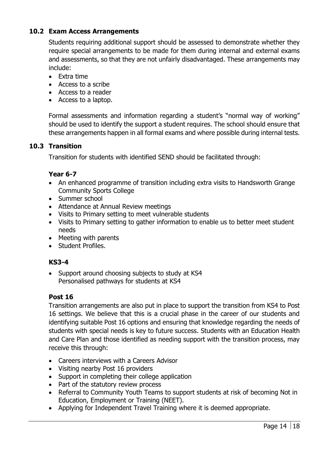#### <span id="page-15-0"></span>**10.2 Exam Access Arrangements**

Students requiring additional support should be assessed to demonstrate whether they require special arrangements to be made for them during internal and external exams and assessments, so that they are not unfairly disadvantaged. These arrangements may include:

- Extra time
- Access to a scribe
- Access to a reader
- Access to a laptop.

Formal assessments and information regarding a student's "normal way of working" should be used to identify the support a student requires. The school should ensure that these arrangements happen in all formal exams and where possible during internal tests.

#### <span id="page-15-1"></span>**10.3 Transition**

Transition for students with identified SEND should be facilitated through:

#### **Year 6-7**

- An enhanced programme of transition including extra visits to Handsworth Grange Community Sports College
- Summer school
- Attendance at Annual Review meetings
- Visits to Primary setting to meet vulnerable students
- Visits to Primary setting to gather information to enable us to better meet student needs
- Meeting with parents
- Student Profiles.

#### **KS3-4**

• Support around choosing subjects to study at KS4 Personalised pathways for students at KS4

#### **Post 16**

Transition arrangements are also put in place to support the transition from KS4 to Post 16 settings. We believe that this is a crucial phase in the career of our students and identifying suitable Post 16 options and ensuring that knowledge regarding the needs of students with special needs is key to future success. Students with an Education Health and Care Plan and those identified as needing support with the transition process, may receive this through:

- Careers interviews with a Careers Advisor
- Visiting nearby Post 16 providers
- Support in completing their college application
- Part of the statutory review process
- Referral to Community Youth Teams to support students at risk of becoming Not in Education, Employment or Training (NEET).
- Applying for Independent Travel Training where it is deemed appropriate.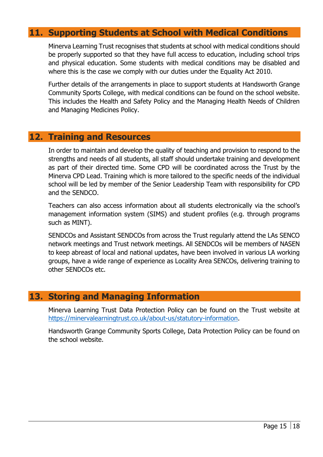## <span id="page-16-0"></span>**11. Supporting Students at School with Medical Conditions**

Minerva Learning Trust recognises that students at school with medical conditions should be properly supported so that they have full access to education, including school trips and physical education. Some students with medical conditions may be disabled and where this is the case we comply with our duties under the Equality Act 2010.

Further details of the arrangements in place to support students at Handsworth Grange Community Sports College, with medical conditions can be found on the school website. This includes the Health and Safety Policy and the Managing Health Needs of Children and Managing Medicines Policy.

#### <span id="page-16-1"></span>**12. Training and Resources**

In order to maintain and develop the quality of teaching and provision to respond to the strengths and needs of all students, all staff should undertake training and development as part of their directed time. Some CPD will be coordinated across the Trust by the Minerva CPD Lead. Training which is more tailored to the specific needs of the individual school will be led by member of the Senior Leadership Team with responsibility for CPD and the SENDCO.

Teachers can also access information about all students electronically via the school's management information system (SIMS) and student profiles (e.g. through programs such as MINT).

SENDCOs and Assistant SENDCOs from across the Trust regularly attend the LAs SENCO network meetings and Trust network meetings. All SENDCOs will be members of NASEN to keep abreast of local and national updates, have been involved in various LA working groups, have a wide range of experience as Locality Area SENCOs, delivering training to other SENDCOs etc.

## <span id="page-16-2"></span>**13. Storing and Managing Information**

Minerva Learning Trust Data Protection Policy can be found on the Trust website at [https://minervalearningtrust.co.uk/about-us/statutory-information.](http://about:blank/)

Handsworth Grange Community Sports College, Data Protection Policy can be found on the school website.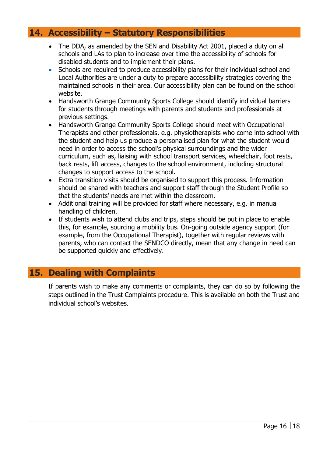## <span id="page-17-0"></span>**14. Accessibility – Statutory Responsibilities**

- The DDA, as amended by the SEN and Disability Act 2001, placed a duty on all schools and LAs to plan to increase over time the accessibility of schools for disabled students and to implement their plans.
- Schools are required to produce accessibility plans for their individual school and Local Authorities are under a duty to prepare accessibility strategies covering the maintained schools in their area. Our accessibility plan can be found on the school website.
- Handsworth Grange Community Sports College should identify individual barriers for students through meetings with parents and students and professionals at previous settings.
- Handsworth Grange Community Sports College should meet with Occupational Therapists and other professionals, e.g. physiotherapists who come into school with the student and help us produce a personalised plan for what the student would need in order to access the school's physical surroundings and the wider curriculum, such as, liaising with school transport services, wheelchair, foot rests, back rests, lift access, changes to the school environment, including structural changes to support access to the school.
- Extra transition visits should be organised to support this process. Information should be shared with teachers and support staff through the Student Profile so that the students' needs are met within the classroom.
- Additional training will be provided for staff where necessary, e.g. in manual handling of children.
- If students wish to attend clubs and trips, steps should be put in place to enable this, for example, sourcing a mobility bus. On-going outside agency support (for example, from the Occupational Therapist), together with regular reviews with parents, who can contact the SENDCO directly, mean that any change in need can be supported quickly and effectively.

## <span id="page-17-1"></span>**15. Dealing with Complaints**

If parents wish to make any comments or complaints, they can do so by following the steps outlined in the Trust Complaints procedure. This is available on both the Trust and individual school's websites.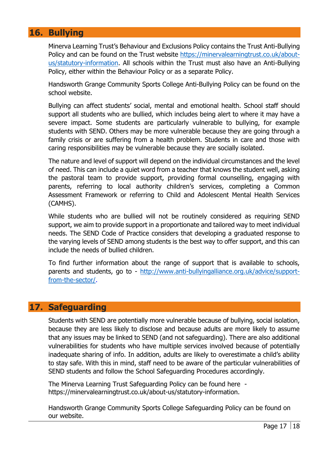## <span id="page-18-0"></span>**16. Bullying**

Minerva Learning Trust's Behaviour and Exclusions Policy contains the Trust Anti-Bullying Policy and can be found on the Trust website [https://minervalearningtrust.co.uk/about](http://about:blank/)[us/statutory-information.](http://about:blank/) All schools within the Trust must also have an Anti-Bullying Policy, either within the Behaviour Policy or as a separate Policy.

Handsworth Grange Community Sports College Anti-Bullying Policy can be found on the school website.

Bullying can affect students' social, mental and emotional health. School staff should support all students who are bullied, which includes being alert to where it may have a severe impact. Some students are particularly vulnerable to bullying, for example students with SEND. Others may be more vulnerable because they are going through a family crisis or are suffering from a health problem. Students in care and those with caring responsibilities may be vulnerable because they are socially isolated.

The nature and level of support will depend on the individual circumstances and the level of need. This can include a quiet word from a teacher that knows the student well, asking the pastoral team to provide support, providing formal counselling, engaging with parents, referring to local authority children's services, completing a Common Assessment Framework or referring to Child and Adolescent Mental Health Services (CAMHS).

While students who are bullied will not be routinely considered as requiring SEND support, we aim to provide support in a proportionate and tailored way to meet individual needs. The SEND Code of Practice considers that developing a graduated response to the varying levels of SEND among students is the best way to offer support, and this can include the needs of bullied children.

To find further information about the range of support that is available to schools, parents and students, go to - [http://www.anti-bullyingalliance.org.uk/advice/support](about:blank)[from-the-sector/.](about:blank)

## <span id="page-18-1"></span>**17. Safeguarding**

Students with SEND are potentially more vulnerable because of bullying, social isolation, because they are less likely to disclose and because adults are more likely to assume that any issues may be linked to SEND (and not safeguarding). There are also additional vulnerabilities for students who have multiple services involved because of potentially inadequate sharing of info. In addition, adults are likely to overestimate a child's ability to stay safe. With this in mind, staff need to be aware of the particular vulnerabilities of SEND students and follow the School Safeguarding Procedures accordingly.

The Minerva Learning Trust Safeguarding Policy can be found here [https://minervalearningtrust.co.uk/about-us/statutory-information.](http://about:blank/)

Handsworth Grange Community Sports College Safeguarding Policy can be found on our website.